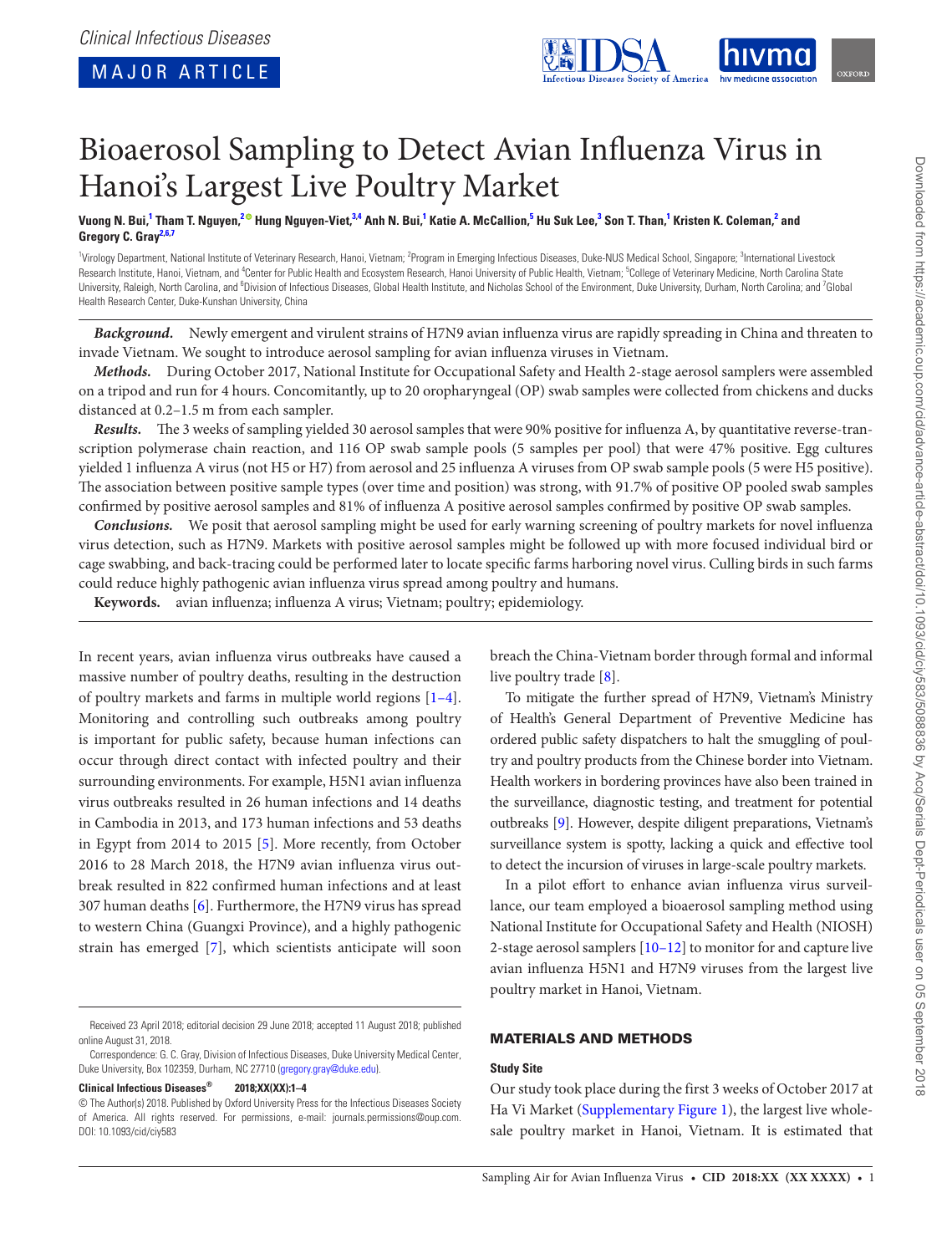<span id="page-0-6"></span><span id="page-0-4"></span><span id="page-0-2"></span>

# Bioaerosol Sampling to Detect Avian Influenza Virus in Hanoi's Largest Live Poultry Market

Vuong N. Bui,<sup>[1](#page-0-0)</sup> Tham T. Nguyen,<sup>[2](#page-0-1)@</sup> Hung Nguyen-Viet,<sup>[3](#page-0-2)[,4](#page-0-3)</sup> Anh N. Bui,<sup>1</sup> Katie A. McCallion,<sup>[5](#page-0-4)</sup> Hu Suk Lee,<sup>3</sup> Son T. Than,<sup>1</sup> Kristen K. Coleman,<sup>2</sup> and **Gregory C. Gray[2](#page-0-1)[,6,](#page-0-5)[7](#page-0-6)**

<span id="page-0-5"></span><span id="page-0-3"></span><span id="page-0-1"></span><span id="page-0-0"></span><sup>1</sup>Virology Department, National Institute of Veterinary Research, Hanoi, Vietnam; <sup>2</sup>Program in Emerging Infectious Diseases, Duke-NUS Medical School, Singapore; <sup>3</sup>International Livestock Research Institute, Hanoi, Vietnam, and <sup>4</sup>Center for Public Health and Ecosystem Research, Hanoi University of Public Health, Vietnam; <sup>5</sup>College of Veterinary Medicine, North Carolina State University, Raleigh, North Carolina, and <sup>6</sup>Division of Infectious Diseases, Global Health Institute, and Nicholas School of the Environment, Duke University, Durham, North Carolina; and <sup>7</sup>Global Health Research Center, Duke-Kunshan University, China

*Background.* Newly emergent and virulent strains of H7N9 avian influenza virus are rapidly spreading in China and threaten to invade Vietnam. We sought to introduce aerosol sampling for avian influenza viruses in Vietnam.

*Methods.* During October 2017, National Institute for Occupational Safety and Health 2-stage aerosol samplers were assembled on a tripod and run for 4 hours. Concomitantly, up to 20 oropharyngeal (OP) swab samples were collected from chickens and ducks distanced at 0.2–1.5 m from each sampler.

*Results.* The 3 weeks of sampling yielded 30 aerosol samples that were 90% positive for influenza A, by quantitative reverse-transcription polymerase chain reaction, and 116 OP swab sample pools (5 samples per pool) that were 47% positive. Egg cultures yielded 1 influenza A virus (not H5 or H7) from aerosol and 25 influenza A viruses from OP swab sample pools (5 were H5 positive). The association between positive sample types (over time and position) was strong, with 91.7% of positive OP pooled swab samples confirmed by positive aerosol samples and 81% of influenza A positive aerosol samples confirmed by positive OP swab samples.

*Conclusions.* We posit that aerosol sampling might be used for early warning screening of poultry markets for novel influenza virus detection, such as H7N9. Markets with positive aerosol samples might be followed up with more focused individual bird or cage swabbing, and back-tracing could be performed later to locate specific farms harboring novel virus. Culling birds in such farms could reduce highly pathogenic avian influenza virus spread among poultry and humans.

**Keywords.** avian influenza; influenza A virus; Vietnam; poultry; epidemiology.

In recent years, avian influenza virus outbreaks have caused a massive number of poultry deaths, resulting in the destruction of poultry markets and farms in multiple world regions [\[1–4\]](#page-3-0). Monitoring and controlling such outbreaks among poultry is important for public safety, because human infections can occur through direct contact with infected poultry and their surrounding environments. For example, H5N1 avian influenza virus outbreaks resulted in 26 human infections and 14 deaths in Cambodia in 2013, and 173 human infections and 53 deaths in Egypt from 2014 to 2015 [[5](#page-3-1)]. More recently, from October 2016 to 28 March 2018, the H7N9 avian influenza virus outbreak resulted in 822 confirmed human infections and at least 307 human deaths [\[6\]](#page-3-2). Furthermore, the H7N9 virus has spread to western China (Guangxi Province), and a highly pathogenic strain has emerged [\[7\]](#page-3-3), which scientists anticipate will soon

#### **Clinical Infectious Diseases® 2018;XX(XX):1–4**

breach the China-Vietnam border through formal and informal live poultry trade [[8\]](#page-3-4).

To mitigate the further spread of H7N9, Vietnam's Ministry of Health's General Department of Preventive Medicine has ordered public safety dispatchers to halt the smuggling of poultry and poultry products from the Chinese border into Vietnam. Health workers in bordering provinces have also been trained in the surveillance, diagnostic testing, and treatment for potential outbreaks [\[9\]](#page-3-5). However, despite diligent preparations, Vietnam's surveillance system is spotty, lacking a quick and effective tool to detect the incursion of viruses in large-scale poultry markets.

In a pilot effort to enhance avian influenza virus surveillance, our team employed a bioaerosol sampling method using National Institute for Occupational Safety and Health (NIOSH) 2-stage aerosol samplers [\[10–12](#page-3-6)] to monitor for and capture live avian influenza H5N1 and H7N9 viruses from the largest live poultry market in Hanoi, Vietnam.

## MATERIALS AND METHODS

## **Study Site**

Our study took place during the first 3 weeks of October 2017 at Ha Vi Market [\(Supplementary Figure 1](http://academic.oup.com/cid/article-lookup/doi/10.1093/cid/ciy583#supplementary-data)), the largest live wholesale poultry market in Hanoi, Vietnam. It is estimated that

Received 23 April 2018; editorial decision 29 June 2018; accepted 11 August 2018; published online August 31, 2018.

Correspondence: G. C. Gray, Division of Infectious Diseases, Duke University Medical Center, Duke University, Box 102359, Durham, NC 27710 [\(gregory.gray@duke.edu\)](mailto:gregory.gray@duke.edu?subject=).

<sup>©</sup> The Author(s) 2018. Published by Oxford University Press for the Infectious Diseases Society of America. All rights reserved. For permissions, e-mail: journals.permissions@oup.com. DOI: 10.1093/cid/ciy583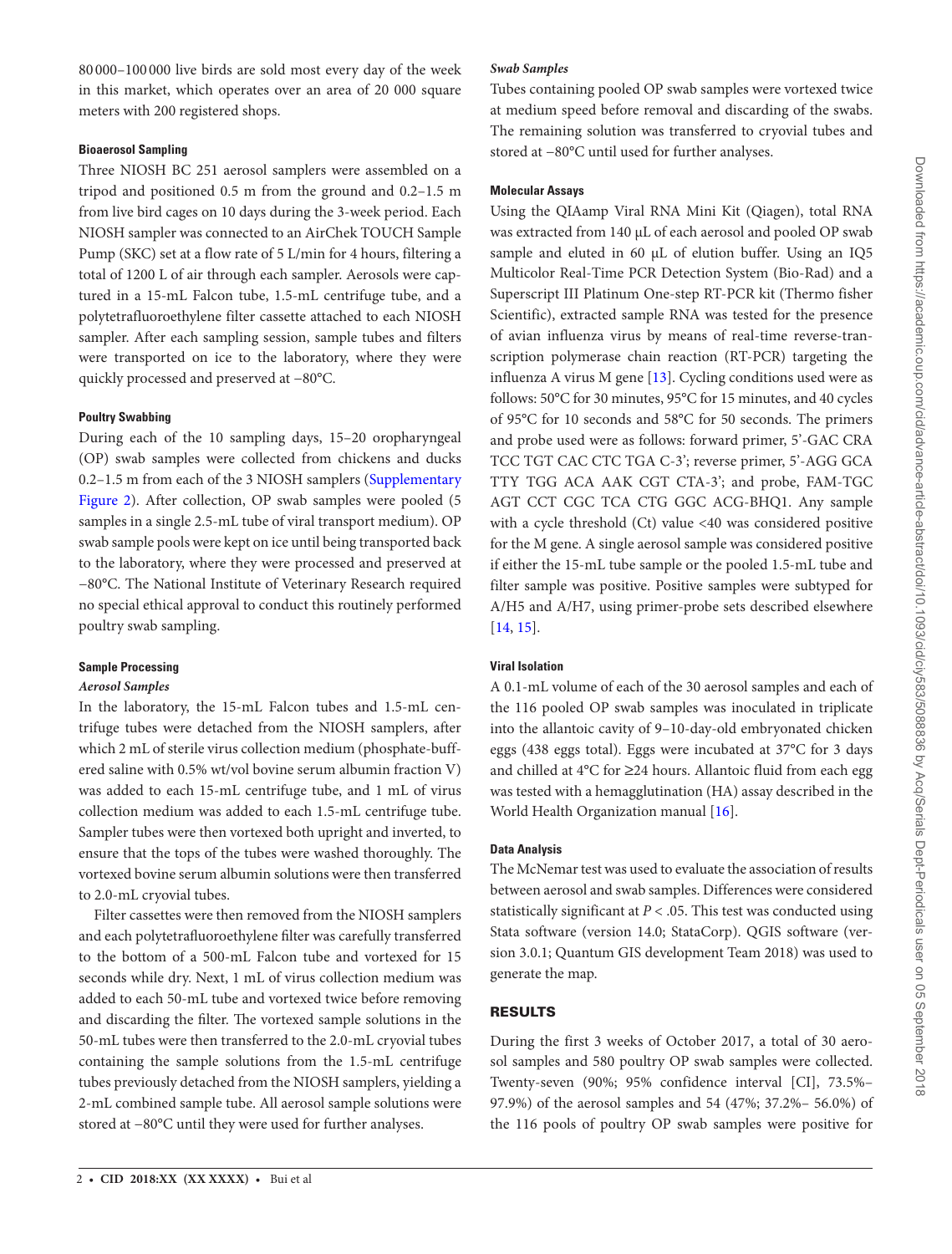80 000–100 000 live birds are sold most every day of the week in this market, which operates over an area of 20 000 square meters with 200 registered shops.

#### **Bioaerosol Sampling**

Three NIOSH BC 251 aerosol samplers were assembled on a tripod and positioned 0.5 m from the ground and 0.2–1.5 m from live bird cages on 10 days during the 3-week period. Each NIOSH sampler was connected to an AirChek TOUCH Sample Pump (SKC) set at a flow rate of 5 L/min for 4 hours, filtering a total of 1200 L of air through each sampler. Aerosols were captured in a 15-mL Falcon tube, 1.5-mL centrifuge tube, and a polytetrafluoroethylene filter cassette attached to each NIOSH sampler. After each sampling session, sample tubes and filters were transported on ice to the laboratory, where they were quickly processed and preserved at -80°C.

#### **Poultry Swabbing**

During each of the 10 sampling days, 15–20 oropharyngeal (OP) swab samples were collected from chickens and ducks 0.2–1.5 m from each of the 3 NIOSH samplers [\(Supplementary](http://academic.oup.com/cid/article-lookup/doi/10.1093/cid/ciy583#supplementary-data) Figure 2). After collection, OP swab samples were pooled (5 samples in a single 2.5-mL tube of viral transport medium). OP swab sample pools were kept on ice until being transported back to the laboratory, where they were processed and preserved at −80°C. The National Institute of Veterinary Research required no special ethical approval to conduct this routinely performed poultry swab sampling.

#### **Sample Processing**

#### *Aerosol Samples*

In the laboratory, the 15-mL Falcon tubes and 1.5-mL centrifuge tubes were detached from the NIOSH samplers, after which 2 mL of sterile virus collection medium (phosphate-buffered saline with 0.5% wt/vol bovine serum albumin fraction V) was added to each 15-mL centrifuge tube, and 1 mL of virus collection medium was added to each 1.5-mL centrifuge tube. Sampler tubes were then vortexed both upright and inverted, to ensure that the tops of the tubes were washed thoroughly. The vortexed bovine serum albumin solutions were then transferred to 2.0-mL cryovial tubes.

Filter cassettes were then removed from the NIOSH samplers and each polytetrafluoroethylene filter was carefully transferred to the bottom of a 500-mL Falcon tube and vortexed for 15 seconds while dry. Next, 1 mL of virus collection medium was added to each 50-mL tube and vortexed twice before removing and discarding the filter. The vortexed sample solutions in the 50-mL tubes were then transferred to the 2.0-mL cryovial tubes containing the sample solutions from the 1.5-mL centrifuge tubes previously detached from the NIOSH samplers, yielding a 2-mL combined sample tube. All aerosol sample solutions were stored at −80°C until they were used for further analyses.

### *Swab Samples*

Tubes containing pooled OP swab samples were vortexed twice at medium speed before removal and discarding of the swabs. The remaining solution was transferred to cryovial tubes and stored at −80°C until used for further analyses.

### **Molecular Assays**

Using the QIAamp Viral RNA Mini Kit (Qiagen), total RNA was extracted from 140 µL of each aerosol and pooled OP swab sample and eluted in 60 µL of elution buffer. Using an IQ5 Multicolor Real-Time PCR Detection System (Bio-Rad) and a Superscript III Platinum One-step RT-PCR kit (Thermo fisher Scientific), extracted sample RNA was tested for the presence of avian influenza virus by means of real-time reverse-transcription polymerase chain reaction (RT-PCR) targeting the influenza A virus M gene [\[13](#page-3-7)]. Cycling conditions used were as follows: 50°C for 30 minutes, 95°C for 15 minutes, and 40 cycles of 95°C for 10 seconds and 58°C for 50 seconds. The primers and probe used were as follows: forward primer, 5'-GAC CRA TCC TGT CAC CTC TGA C-3'; reverse primer, 5'-AGG GCA TTY TGG ACA AAK CGT CTA-3'; and probe, FAM-TGC AGT CCT CGC TCA CTG GGC ACG-BHQ1. Any sample with a cycle threshold (Ct) value <40 was considered positive for the M gene. A single aerosol sample was considered positive if either the 15-mL tube sample or the pooled 1.5-mL tube and filter sample was positive. Positive samples were subtyped for A/H5 and A/H7, using primer-probe sets described elsewhere [\[14](#page-3-8), [15\]](#page-3-9).

# **Viral Isolation**

A 0.1-mL volume of each of the 30 aerosol samples and each of the 116 pooled OP swab samples was inoculated in triplicate into the allantoic cavity of 9–10-day-old embryonated chicken eggs (438 eggs total). Eggs were incubated at 37°C for 3 days and chilled at 4°C for ≥24 hours. Allantoic fluid from each egg was tested with a hemagglutination (HA) assay described in the World Health Organization manual [\[16](#page-3-10)].

#### **Data Analysis**

The McNemar test was used to evaluate the association of results between aerosol and swab samples. Differences were considered statistically significant at  $P < .05$ . This test was conducted using Stata software (version 14.0; StataCorp). QGIS software (version 3.0.1; Quantum GIS development Team 2018) was used to generate the map.

## RESULTS

During the first 3 weeks of October 2017, a total of 30 aerosol samples and 580 poultry OP swab samples were collected. Twenty-seven (90%; 95% confidence interval [CI], 73.5%– 97.9%) of the aerosol samples and 54 (47%; 37.2%– 56.0%) of the 116 pools of poultry OP swab samples were positive for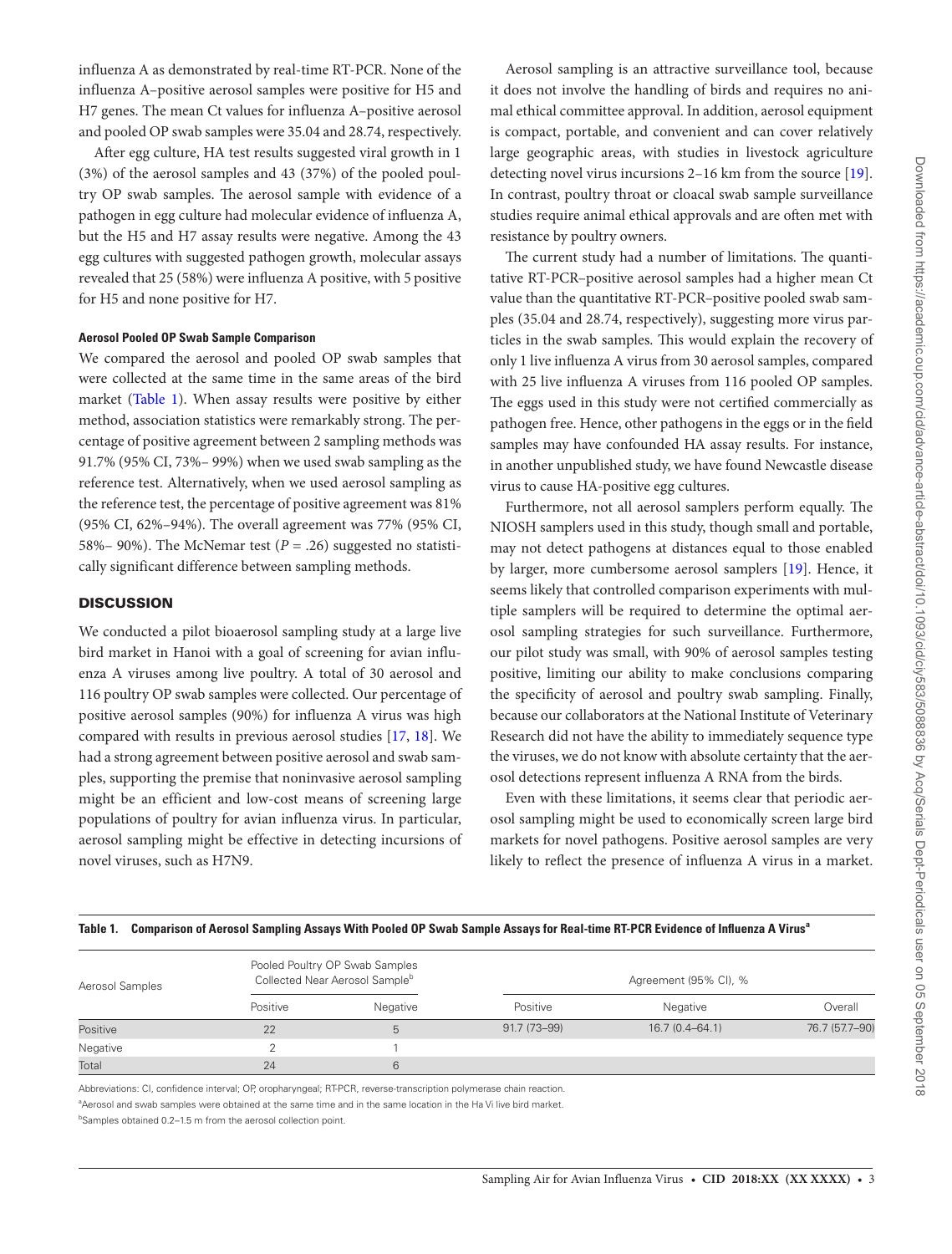influenza A as demonstrated by real-time RT-PCR. None of the influenza A–positive aerosol samples were positive for H5 and H7 genes. The mean Ct values for influenza A–positive aerosol and pooled OP swab samples were 35.04 and 28.74, respectively.

After egg culture, HA test results suggested viral growth in 1 (3%) of the aerosol samples and 43 (37%) of the pooled poultry OP swab samples. The aerosol sample with evidence of a pathogen in egg culture had molecular evidence of influenza A, but the H5 and H7 assay results were negative. Among the 43 egg cultures with suggested pathogen growth, molecular assays revealed that 25 (58%) were influenza A positive, with 5 positive for H5 and none positive for H7.

#### **Aerosol Pooled OP Swab Sample Comparison**

We compared the aerosol and pooled OP swab samples that were collected at the same time in the same areas of the bird market ([Table 1](#page-2-0)). When assay results were positive by either method, association statistics were remarkably strong. The percentage of positive agreement between 2 sampling methods was 91.7% (95% CI, 73%– 99%) when we used swab sampling as the reference test. Alternatively, when we used aerosol sampling as the reference test, the percentage of positive agreement was 81% (95% CI, 62%–94%). The overall agreement was 77% (95% CI, 58%– 90%). The McNemar test  $(P = .26)$  suggested no statistically significant difference between sampling methods.

## **DISCUSSION**

We conducted a pilot bioaerosol sampling study at a large live bird market in Hanoi with a goal of screening for avian influenza A viruses among live poultry. A total of 30 aerosol and 116 poultry OP swab samples were collected. Our percentage of positive aerosol samples (90%) for influenza A virus was high compared with results in previous aerosol studies [\[17,](#page-3-11) [18\]](#page-3-12). We had a strong agreement between positive aerosol and swab samples, supporting the premise that noninvasive aerosol sampling might be an efficient and low-cost means of screening large populations of poultry for avian influenza virus. In particular, aerosol sampling might be effective in detecting incursions of novel viruses, such as H7N9.

Aerosol sampling is an attractive surveillance tool, because it does not involve the handling of birds and requires no animal ethical committee approval. In addition, aerosol equipment is compact, portable, and convenient and can cover relatively large geographic areas, with studies in livestock agriculture detecting novel virus incursions 2–16 km from the source [\[19](#page-3-13)]. In contrast, poultry throat or cloacal swab sample surveillance studies require animal ethical approvals and are often met with resistance by poultry owners.

The current study had a number of limitations. The quantitative RT-PCR–positive aerosol samples had a higher mean Ct value than the quantitative RT-PCR–positive pooled swab samples (35.04 and 28.74, respectively), suggesting more virus particles in the swab samples. This would explain the recovery of only 1 live influenza A virus from 30 aerosol samples, compared with 25 live influenza A viruses from 116 pooled OP samples. The eggs used in this study were not certified commercially as pathogen free. Hence, other pathogens in the eggs or in the field samples may have confounded HA assay results. For instance, in another unpublished study, we have found Newcastle disease virus to cause HA-positive egg cultures.

Furthermore, not all aerosol samplers perform equally. The NIOSH samplers used in this study, though small and portable, may not detect pathogens at distances equal to those enabled by larger, more cumbersome aerosol samplers [[19](#page-3-13)]. Hence, it seems likely that controlled comparison experiments with multiple samplers will be required to determine the optimal aerosol sampling strategies for such surveillance. Furthermore, our pilot study was small, with 90% of aerosol samples testing positive, limiting our ability to make conclusions comparing the specificity of aerosol and poultry swab sampling. Finally, because our collaborators at the National Institute of Veterinary Research did not have the ability to immediately sequence type the viruses, we do not know with absolute certainty that the aerosol detections represent influenza A RNA from the birds.

Even with these limitations, it seems clear that periodic aerosol sampling might be used to economically screen large bird markets for novel pathogens. Positive aerosol samples are very likely to reflect the presence of influenza A virus in a market.

| Aerosol Samples | Pooled Poultry OP Swab Samples<br>Collected Near Aerosol Sample <sup>b</sup> |          | Agreement (95% CI), % |                    |                |
|-----------------|------------------------------------------------------------------------------|----------|-----------------------|--------------------|----------------|
|                 | Positive                                                                     | Negative | Positive              | Negative           | Overall        |
| Positive        | 22                                                                           | 5        | 91.7 (73-99)          | $16.7(0.4 - 64.1)$ | 76.7 (57.7-90) |
| Negative        |                                                                              |          |                       |                    |                |
| Total           | 24                                                                           | 6        |                       |                    |                |

<span id="page-2-0"></span>Table 1. Comparison of Aerosol Sampling Assays With Pooled OP Swab Sample Assays for Real-time RT-PCR Evidence of Influenza A Virus<sup>e</sup>

Abbreviations: CI, confidence interval; OP, oropharyngeal; RT-PCR, reverse-transcription polymerase chain reaction.

<sup>a</sup>Aerosol and swab samples were obtained at the same time and in the same location in the Ha Vi live bird market.

<sup>b</sup>Samples obtained 0.2-1.5 m from the aerosol collection point.